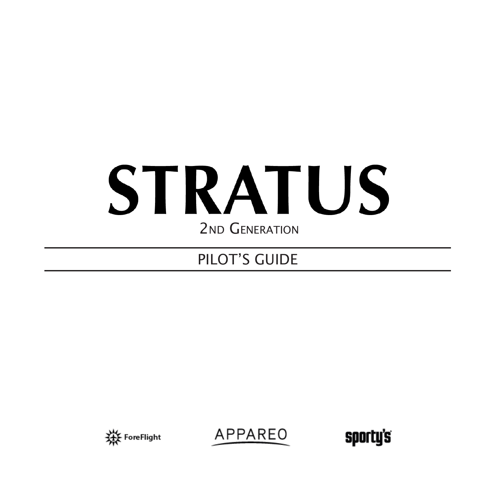# **STRATUS** 2<sub>ND</sub> GENERATION

### PILOT'S GUIDE



APPAREO

sporty's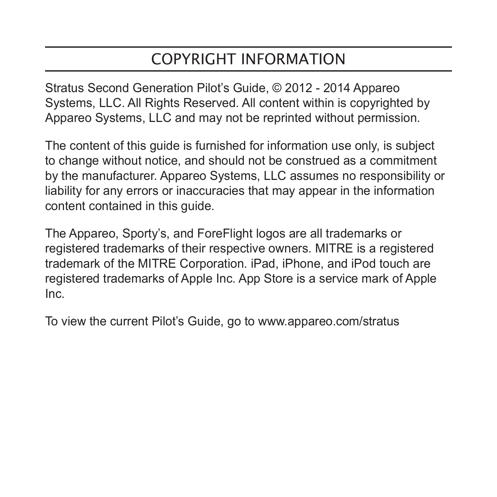# COPYRIGHT INFORMATION

Stratus Second Generation Pilot's Guide, © 2012 - 2014 Appareo Systems, LLC. All Rights Reserved. All content within is copyrighted by Appareo Systems, LLC and may not be reprinted without permission.

The content of this guide is furnished for information use only, is subject to change without notice, and should not be construed as a commitment by the manufacturer. Appareo Systems, LLC assumes no responsibility or liability for any errors or inaccuracies that may appear in the information content contained in this guide.

The Appareo, Sporty's, and ForeFlight logos are all trademarks or registered trademarks of their respective owners. MITRE is a registered trademark of the MITRE Corporation. iPad, iPhone, and iPod touch are registered trademarks of Apple Inc. App Store is a service mark of Apple Inc.

To view the current Pilot's Guide, go to www.appareo.com/stratus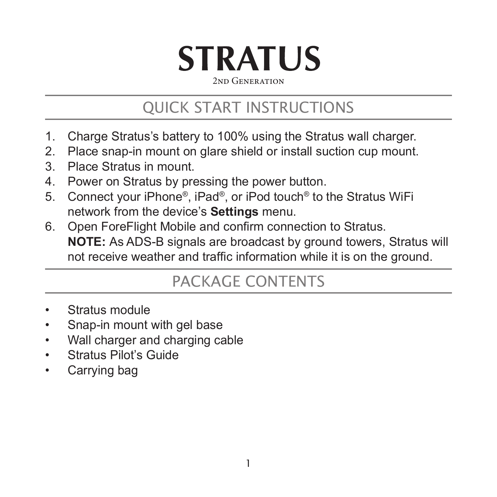# **STRATUS** 2nd Generation

# QUICK START INSTRUCTIONS

- 1. Charge Stratus's battery to 100% using the Stratus wall charger.
- 2. Place snap-in mount on glare shield or install suction cup mount.
- 3. Place Stratus in mount.
- 4. Power on Stratus by pressing the power button.
- 5. Connect your iPhone®, iPad®, or iPod touch® to the Stratus WiFi network from the device's **Settings** menu.
- 6. Open ForeFlight Mobile and confirm connection to Stratus. **NOTE:** As ADS-B signals are broadcast by ground towers, Stratus will not receive weather and traffic information while it is on the ground.

### PACKAGE CONTENTS

- Stratus module
- Snap-in mount with gel base
- Wall charger and charging cable
- Stratus Pilot's Guide
- Carrying bag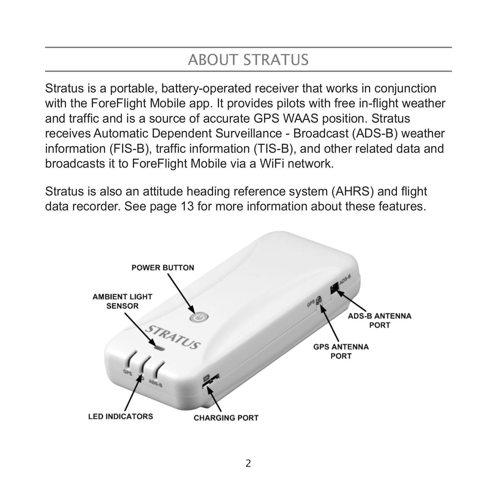# ABOUT STRATUS

Stratus is a portable, battery-operated receiver that works in conjunction with the ForeFlight Mobile app. It provides pilots with free in-flight weather and traffic and is a source of accurate GPS WAAS position. Stratus receives Automatic Dependent Surveillance - Broadcast (ADS-B) weather information (FIS-B), traffic information (TIS-B), and other related data and broadcasts it to ForeFlight Mobile via a WiFi network.

Stratus is also an attitude heading reference system (AHRS) and flight data recorder. See page 13 for more information about these features.

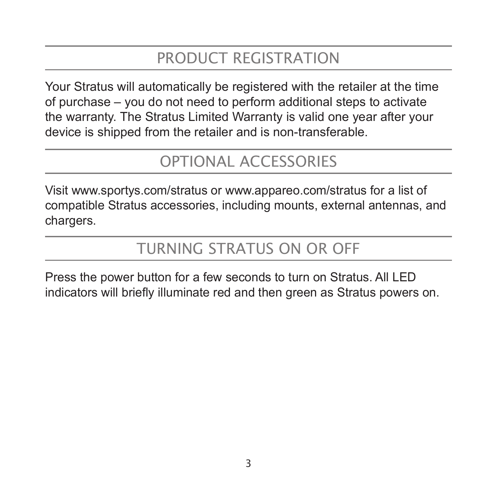# PRODUCT REGISTRATION

Your Stratus will automatically be registered with the retailer at the time of purchase – you do not need to perform additional steps to activate the warranty. The Stratus Limited Warranty is valid one year after your device is shipped from the retailer and is non-transferable.

### OPTIONAL ACCESSORIES

Visit www.sportys.com/stratus or www.appareo.com/stratus for a list of compatible Stratus accessories, including mounts, external antennas, and chargers.

# TURNING STRATUS ON OR OFF

Press the power button for a few seconds to turn on Stratus. All LED indicators will briefly illuminate red and then green as Stratus powers on.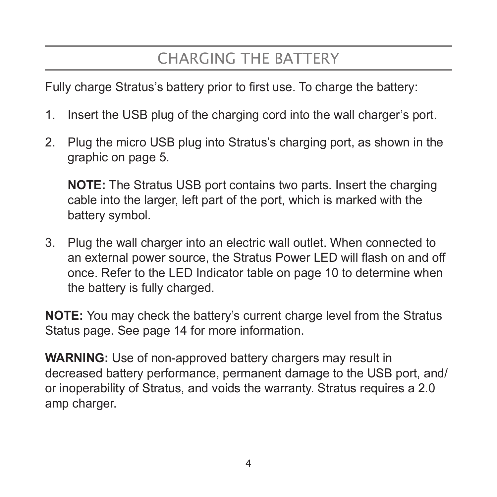# CHARGING THE BATTERY

Fully charge Stratus's battery prior to first use. To charge the battery:

- 1. Insert the USB plug of the charging cord into the wall charger's port.
- 2. Plug the micro USB plug into Stratus's charging port, as shown in the graphic on page 5.

**NOTE:** The Stratus USB port contains two parts. Insert the charging cable into the larger, left part of the port, which is marked with the battery symbol.

3. Plug the wall charger into an electric wall outlet. When connected to an external power source, the Stratus Power LED will flash on and off once. Refer to the LED Indicator table on page 10 to determine when the battery is fully charged.

**NOTE:** You may check the battery's current charge level from the Stratus Status page. See page 14 for more information.

**WARNING:** Use of non-approved battery chargers may result in decreased battery performance, permanent damage to the USB port, and/ or inoperability of Stratus, and voids the warranty. Stratus requires a 2.0 amp charger.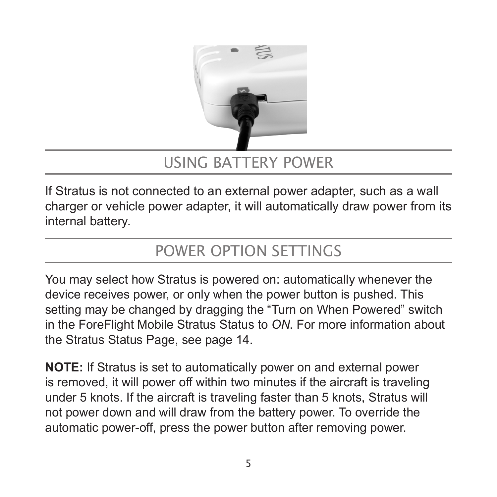

#### USING BATTERY POWER

If Stratus is not connected to an external power adapter, such as a wall charger or vehicle power adapter, it will automatically draw power from its internal battery.

### POWER OPTION SETTINGS

You may select how Stratus is powered on: automatically whenever the device receives power, or only when the power button is pushed. This setting may be changed by dragging the "Turn on When Powered" switch in the ForeFlight Mobile Stratus Status to *ON*. For more information about the Stratus Status Page, see page 14.

**NOTE:** If Stratus is set to automatically power on and external power is removed, it will power off within two minutes if the aircraft is traveling under 5 knots. If the aircraft is traveling faster than 5 knots, Stratus will not power down and will draw from the battery power. To override the automatic power-off, press the power button after removing power.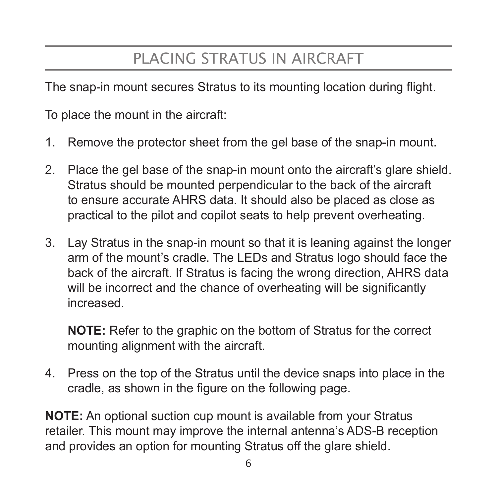# PLACING STRATUS IN AIRCRAFT

The snap-in mount secures Stratus to its mounting location during flight.

To place the mount in the aircraft:

- 1. Remove the protector sheet from the gel base of the snap-in mount.
- 2. Place the gel base of the snap-in mount onto the aircraft's glare shield. Stratus should be mounted perpendicular to the back of the aircraft to ensure accurate AHRS data. It should also be placed as close as practical to the pilot and copilot seats to help prevent overheating.
- 3. Lay Stratus in the snap-in mount so that it is leaning against the longer arm of the mount's cradle. The LEDs and Stratus logo should face the back of the aircraft. If Stratus is facing the wrong direction, AHRS data will be incorrect and the chance of overheating will be significantly increased.

**NOTE:** Refer to the graphic on the bottom of Stratus for the correct mounting alignment with the aircraft.

4. Press on the top of the Stratus until the device snaps into place in the cradle, as shown in the figure on the following page.

**NOTE:** An optional suction cup mount is available from your Stratus retailer. This mount may improve the internal antenna's ADS-B reception and provides an option for mounting Stratus off the glare shield.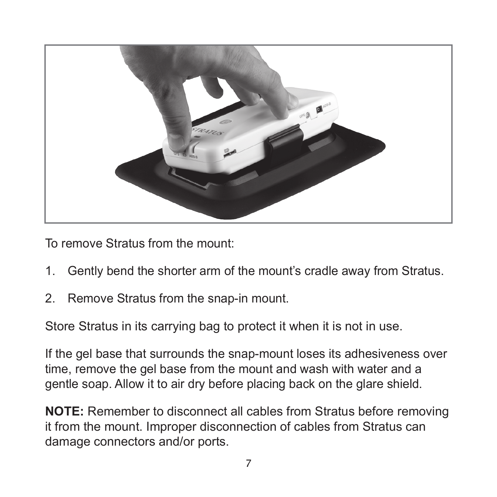

To remove Stratus from the mount:

- 1. Gently bend the shorter arm of the mount's cradle away from Stratus.
- 2. Remove Stratus from the snap-in mount.

Store Stratus in its carrying bag to protect it when it is not in use.

If the gel base that surrounds the snap-mount loses its adhesiveness over time, remove the gel base from the mount and wash with water and a gentle soap. Allow it to air dry before placing back on the glare shield.

**NOTE:** Remember to disconnect all cables from Stratus before removing it from the mount. Improper disconnection of cables from Stratus can damage connectors and/or ports.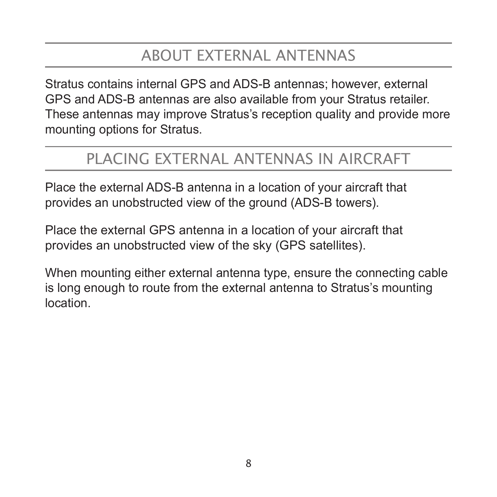### ABOUT EXTERNAL ANTENNAS

Stratus contains internal GPS and ADS-B antennas; however, external GPS and ADS-B antennas are also available from your Stratus retailer. These antennas may improve Stratus's reception quality and provide more mounting options for Stratus.

#### PLACING EXTERNAL ANTENNAS IN AIRCRAFT

Place the external ADS-B antenna in a location of your aircraft that provides an unobstructed view of the ground (ADS-B towers).

Place the external GPS antenna in a location of your aircraft that provides an unobstructed view of the sky (GPS satellites).

When mounting either external antenna type, ensure the connecting cable is long enough to route from the external antenna to Stratus's mounting location.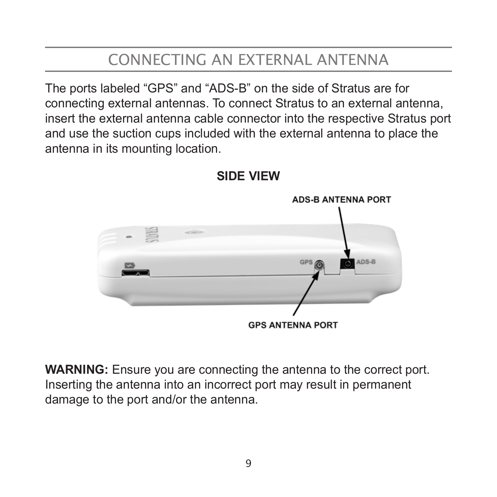# CONNECTING AN EXTERNAL ANTENNA

The ports labeled "GPS" and "ADS-B" on the side of Stratus are for connecting external antennas. To connect Stratus to an external antenna, insert the external antenna cable connector into the respective Stratus port and use the suction cups included with the external antenna to place the antenna in its mounting location.



**SIDE VIEW**

**WARNING:** Ensure you are connecting the antenna to the correct port. Inserting the antenna into an incorrect port may result in permanent damage to the port and/or the antenna.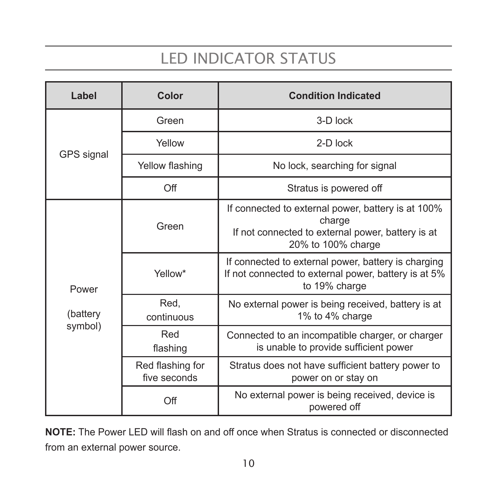# LED INDICATOR STATUS

| Label                        | Color                            | <b>Condition Indicated</b>                                                                                                              |  |
|------------------------------|----------------------------------|-----------------------------------------------------------------------------------------------------------------------------------------|--|
| GPS signal                   | Green                            | 3-D lock                                                                                                                                |  |
|                              | Yellow                           | 2-D lock                                                                                                                                |  |
|                              | Yellow flashing                  | No lock, searching for signal                                                                                                           |  |
|                              | Off                              | Stratus is powered off                                                                                                                  |  |
| Power<br>(battery<br>symbol) | Green                            | If connected to external power, battery is at 100%<br>charge<br>If not connected to external power, battery is at<br>20% to 100% charge |  |
|                              | Yellow*                          | If connected to external power, battery is charging<br>If not connected to external power, battery is at 5%<br>to 19% charge            |  |
|                              | Red,<br>continuous               | No external power is being received, battery is at<br>1% to 4% charge                                                                   |  |
|                              | Red<br>flashing                  | Connected to an incompatible charger, or charger<br>is unable to provide sufficient power                                               |  |
|                              | Red flashing for<br>five seconds | Stratus does not have sufficient battery power to<br>power on or stay on                                                                |  |
|                              | Off                              | No external power is being received, device is<br>powered off                                                                           |  |

**NOTE:** The Power LED will flash on and off once when Stratus is connected or disconnected from an external power source.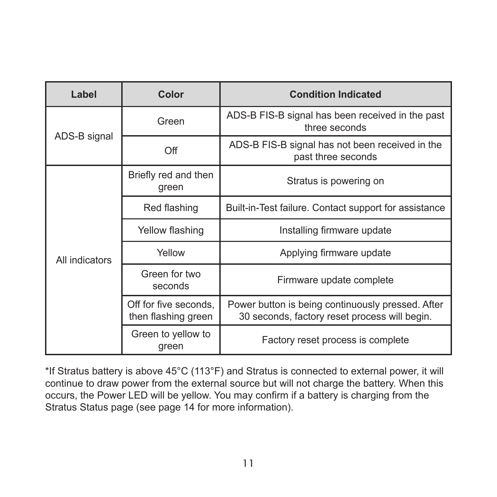| Label          | Color                                        | <b>Condition Indicated</b>                                                                         |  |
|----------------|----------------------------------------------|----------------------------------------------------------------------------------------------------|--|
| ADS-B signal   | Green                                        | ADS-B FIS-B signal has been received in the past<br>three seconds                                  |  |
|                | Off                                          | ADS-B FIS-B signal has not been received in the<br>past three seconds                              |  |
| All indicators | Briefly red and then<br>green                | Stratus is powering on                                                                             |  |
|                | Red flashing                                 | Built-in-Test failure. Contact support for assistance                                              |  |
|                | Yellow flashing                              | Installing firmware update                                                                         |  |
|                | Yellow                                       | Applying firmware update                                                                           |  |
|                | Green for two<br>seconds                     | Firmware update complete                                                                           |  |
|                | Off for five seconds.<br>then flashing green | Power button is being continuously pressed. After<br>30 seconds, factory reset process will begin. |  |
|                | Green to yellow to<br>green                  | Factory reset process is complete                                                                  |  |

\*If Stratus battery is above 45°C (113°F) and Stratus is connected to external power, it will continue to draw power from the external source but will not charge the battery. When this occurs, the Power LED will be yellow. You may confirm if a battery is charging from the Stratus Status page (see page 14 for more information).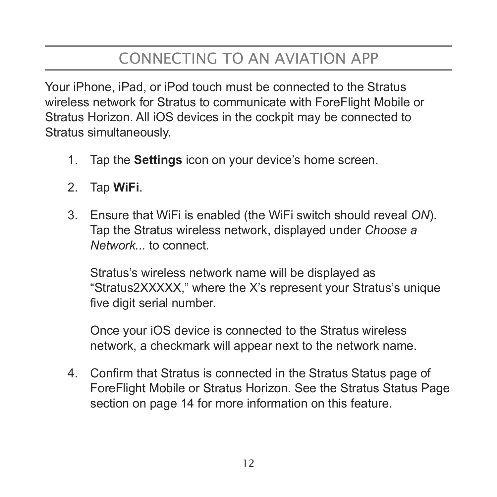# CONNECTING TO AN AVIATION APP

Your iPhone, iPad, or iPod touch must be connected to the Stratus wireless network for Stratus to communicate with ForeFlight Mobile or Stratus Horizon. All iOS devices in the cockpit may be connected to Stratus simultaneously.

- 1. Tap the **Settings** icon on your device's home screen.
- 2. Tap **WiFi**.
- 3. Ensure that WiFi is enabled (the WiFi switch should reveal *ON*). Tap the Stratus wireless network, displayed under *Choose a Network...* to connect.

Stratus's wireless network name will be displayed as "Stratus2XXXXX," where the X's represent your Stratus's unique five digit serial number.

Once your iOS device is connected to the Stratus wireless network, a checkmark will appear next to the network name.

4. Confirm that Stratus is connected in the Stratus Status page of ForeFlight Mobile or Stratus Horizon. See the Stratus Status Page section on page 14 for more information on this feature.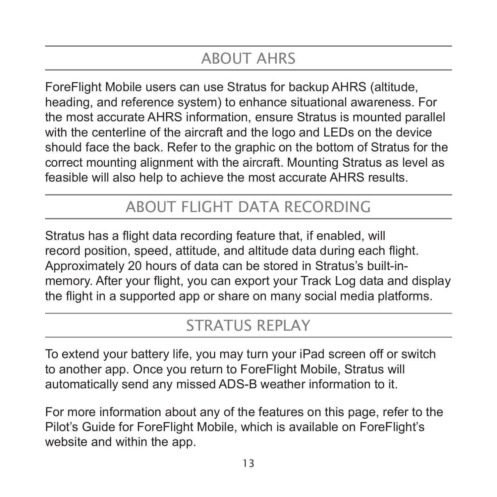# ABOUT AHRS

ForeFlight Mobile users can use Stratus for backup AHRS (altitude, heading, and reference system) to enhance situational awareness. For the most accurate AHRS information, ensure Stratus is mounted parallel with the centerline of the aircraft and the logo and LEDs on the device should face the back. Refer to the graphic on the bottom of Stratus for the correct mounting alignment with the aircraft. Mounting Stratus as level as feasible will also help to achieve the most accurate AHRS results.

#### ABOUT FLIGHT DATA RECORDING

Stratus has a flight data recording feature that, if enabled, will record position, speed, attitude, and altitude data during each flight. Approximately 20 hours of data can be stored in Stratus's built-inmemory. After your flight, you can export your Track Log data and display the flight in a supported app or share on many social media platforms.

### STRATUS RFPLAY

To extend your battery life, you may turn your iPad screen off or switch to another app. Once you return to ForeFlight Mobile, Stratus will automatically send any missed ADS-B weather information to it.

For more information about any of the features on this page, refer to the Pilot's Guide for ForeFlight Mobile, which is available on ForeFlight's website and within the app.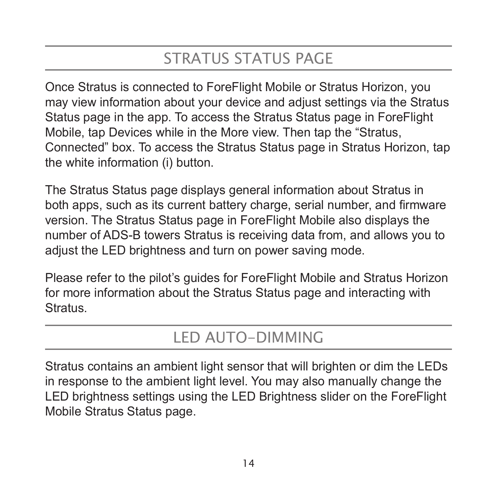# STRATUS STATUS PAGE

Once Stratus is connected to ForeFlight Mobile or Stratus Horizon, you may view information about your device and adjust settings via the Stratus Status page in the app. To access the Stratus Status page in ForeFlight Mobile, tap Devices while in the More view. Then tap the "Stratus, Connected" box. To access the Stratus Status page in Stratus Horizon, tap the white information (i) button.

The Stratus Status page displays general information about Stratus in both apps, such as its current battery charge, serial number, and firmware version. The Stratus Status page in ForeFlight Mobile also displays the number of ADS-B towers Stratus is receiving data from, and allows you to adjust the LED brightness and turn on power saving mode.

Please refer to the pilot's guides for ForeFlight Mobile and Stratus Horizon for more information about the Stratus Status page and interacting with Stratus.

### LED AUTO-DIMMING

Stratus contains an ambient light sensor that will brighten or dim the LEDs in response to the ambient light level. You may also manually change the LED brightness settings using the LED Brightness slider on the ForeFlight Mobile Stratus Status page.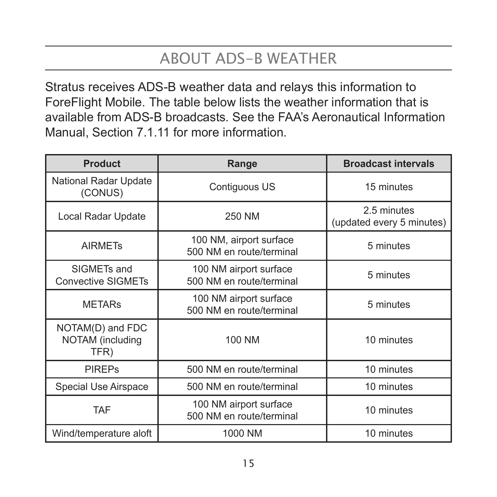# ABOUT ADS-B WEATHER

Stratus receives ADS-B weather data and relays this information to ForeFlight Mobile. The table below lists the weather information that is available from ADS-B broadcasts. See the FAA's Aeronautical Information Manual, Section 7.1.11 for more information.

| <b>Product</b>                               | Range                                               | <b>Broadcast intervals</b>               |
|----------------------------------------------|-----------------------------------------------------|------------------------------------------|
| National Radar Update<br>(CONUS)             | Contiguous US                                       | 15 minutes                               |
| Local Radar Update                           | 250 NM                                              | 2.5 minutes<br>(updated every 5 minutes) |
| <b>AIRMETS</b>                               | 100 NM, airport surface<br>500 NM en route/terminal | 5 minutes                                |
| SIGMETs and<br><b>Convective SIGMETs</b>     | 100 NM airport surface<br>500 NM en route/terminal  | 5 minutes                                |
| <b>METARS</b>                                | 100 NM airport surface<br>500 NM en route/terminal  | 5 minutes                                |
| NOTAM(D) and FDC<br>NOTAM (including<br>TFR) | 100 NM                                              | 10 minutes                               |
| <b>PIREPs</b>                                | 500 NM en route/terminal                            | 10 minutes                               |
| Special Use Airspace                         | 500 NM en route/terminal                            | 10 minutes                               |
| <b>TAF</b>                                   | 100 NM airport surface<br>500 NM en route/terminal  | 10 minutes                               |
| Wind/temperature aloft                       | 1000 NM                                             | 10 minutes                               |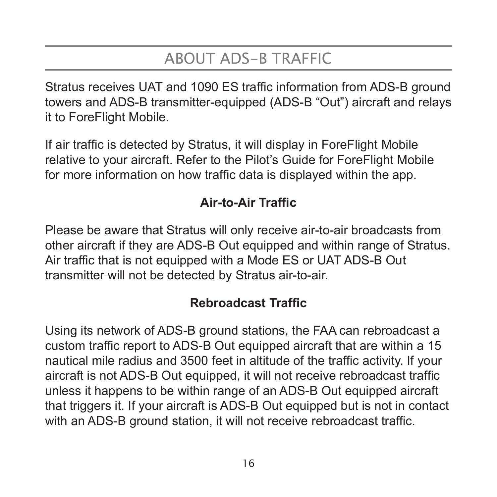# ABOUT ADS-B TRAFFIC

Stratus receives UAT and 1090 ES traffic information from ADS-B ground towers and ADS-B transmitter-equipped (ADS-B "Out") aircraft and relays it to ForeFlight Mobile.

If air traffic is detected by Stratus, it will display in ForeFlight Mobile relative to your aircraft. Refer to the Pilot's Guide for ForeFlight Mobile for more information on how traffic data is displayed within the app.

#### **Air-to-Air Traffic**

Please be aware that Stratus will only receive air-to-air broadcasts from other aircraft if they are ADS-B Out equipped and within range of Stratus. Air traffic that is not equipped with a Mode ES or UAT ADS-B Out transmitter will not be detected by Stratus air-to-air.

#### **Rebroadcast Traffic**

Using its network of ADS-B ground stations, the FAA can rebroadcast a custom traffic report to ADS-B Out equipped aircraft that are within a 15 nautical mile radius and 3500 feet in altitude of the traffic activity. If your aircraft is not ADS-B Out equipped, it will not receive rebroadcast traffic unless it happens to be within range of an ADS-B Out equipped aircraft that triggers it. If your aircraft is ADS-B Out equipped but is not in contact with an ADS-B ground station, it will not receive rebroadcast traffic.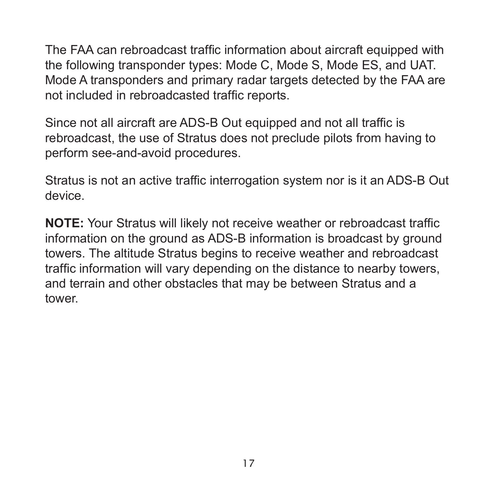The FAA can rebroadcast traffic information about aircraft equipped with the following transponder types: Mode C, Mode S, Mode ES, and UAT. Mode A transponders and primary radar targets detected by the FAA are not included in rebroadcasted traffic reports.

Since not all aircraft are ADS-B Out equipped and not all traffic is rebroadcast, the use of Stratus does not preclude pilots from having to perform see-and-avoid procedures.

Stratus is not an active traffic interrogation system nor is it an ADS-B Out device.

**NOTE:** Your Stratus will likely not receive weather or rebroadcast traffic information on the ground as ADS-B information is broadcast by ground towers. The altitude Stratus begins to receive weather and rebroadcast traffic information will vary depending on the distance to nearby towers, and terrain and other obstacles that may be between Stratus and a tower.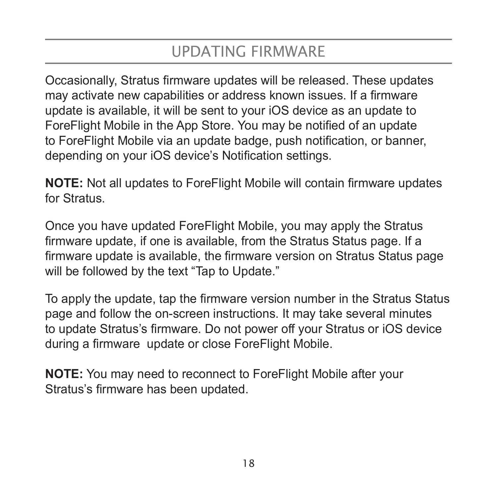### UPDATING FIRMWARE

Occasionally, Stratus firmware updates will be released. These updates may activate new capabilities or address known issues. If a firmware update is available, it will be sent to your iOS device as an update to ForeFlight Mobile in the App Store. You may be notified of an update to ForeFlight Mobile via an update badge, push notification, or banner, depending on your iOS device's Notification settings.

**NOTE:** Not all updates to ForeFlight Mobile will contain firmware updates for Stratus.

Once you have updated ForeFlight Mobile, you may apply the Stratus firmware update, if one is available, from the Stratus Status page. If a firmware update is available, the firmware version on Stratus Status page will be followed by the text "Tap to Update."

To apply the update, tap the firmware version number in the Stratus Status page and follow the on-screen instructions. It may take several minutes to update Stratus's firmware. Do not power off your Stratus or iOS device during a firmware update or close ForeFlight Mobile.

**NOTE:** You may need to reconnect to ForeFlight Mobile after your Stratus's firmware has been updated.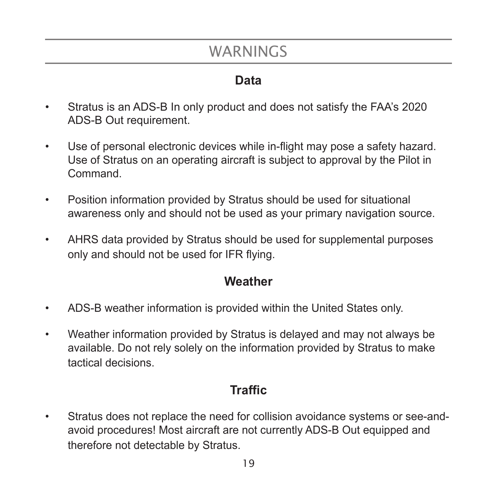### WARNINGS

#### **Data**

- Stratus is an ADS-B In only product and does not satisfy the FAA's 2020 ADS-B Out requirement.
- Use of personal electronic devices while in-flight may pose a safety hazard. Use of Stratus on an operating aircraft is subject to approval by the Pilot in Command.
- Position information provided by Stratus should be used for situational awareness only and should not be used as your primary navigation source.
- AHRS data provided by Stratus should be used for supplemental purposes only and should not be used for IFR flying.

#### **Weather**

- ADS-B weather information is provided within the United States only.
- Weather information provided by Stratus is delayed and may not always be available. Do not rely solely on the information provided by Stratus to make tactical decisions.

#### **Traffic**

• Stratus does not replace the need for collision avoidance systems or see-andavoid procedures! Most aircraft are not currently ADS-B Out equipped and therefore not detectable by Stratus.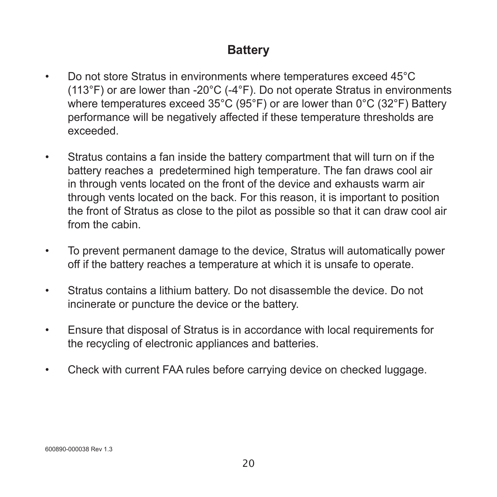#### **Battery**

- Do not store Stratus in environments where temperatures exceed 45°C (113°F) or are lower than -20°C (-4°F). Do not operate Stratus in environments where temperatures exceed 35°C (95°F) or are lower than 0°C (32°F) Battery performance will be negatively affected if these temperature thresholds are exceeded.
- Stratus contains a fan inside the battery compartment that will turn on if the battery reaches a predetermined high temperature. The fan draws cool air in through vents located on the front of the device and exhausts warm air through vents located on the back. For this reason, it is important to position the front of Stratus as close to the pilot as possible so that it can draw cool air from the cabin.
- To prevent permanent damage to the device, Stratus will automatically power off if the battery reaches a temperature at which it is unsafe to operate.
- Stratus contains a lithium battery. Do not disassemble the device. Do not incinerate or puncture the device or the battery.
- Ensure that disposal of Stratus is in accordance with local requirements for the recycling of electronic appliances and batteries.
- Check with current FAA rules before carrying device on checked luggage.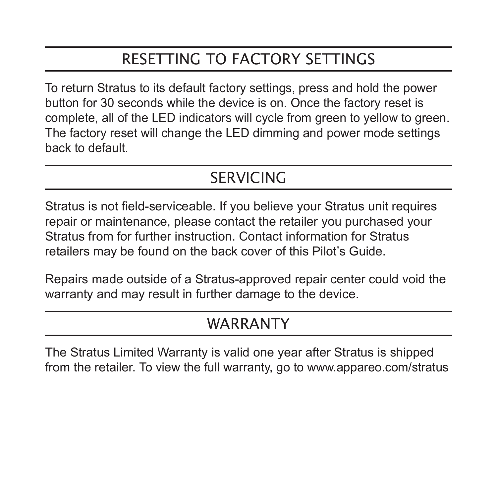# RESETTING TO FACTORY SETTINGS

To return Stratus to its default factory settings, press and hold the power button for 30 seconds while the device is on. Once the factory reset is complete, all of the LED indicators will cycle from green to yellow to green. The factory reset will change the LED dimming and power mode settings back to default.

### **SERVICING**

Stratus is not field-serviceable. If you believe your Stratus unit requires repair or maintenance, please contact the retailer you purchased your Stratus from for further instruction. Contact information for Stratus retailers may be found on the back cover of this Pilot's Guide.

Repairs made outside of a Stratus-approved repair center could void the warranty and may result in further damage to the device.

#### WARRANTY

The Stratus Limited Warranty is valid one year after Stratus is shipped from the retailer. To view the full warranty, go to www.appareo.com/stratus